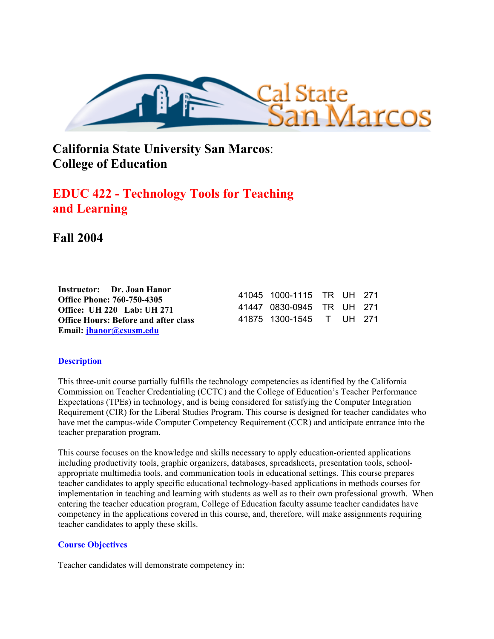

**California State University San Marcos**: **College of Education**

# **EDUC 422 - Technology Tools for Teaching and Learning**

## **Fall 2004**

| Instructor: Dr. Joan Hanor                  |                           |  |  |
|---------------------------------------------|---------------------------|--|--|
| Office Phone: 760-750-4305                  | 41045 1000-1115 TR UH 271 |  |  |
| <b>Office: UH 220 Lab: UH 271</b>           | 41447 0830-0945 TR UH 271 |  |  |
| <b>Office Hours: Before and after class</b> | 41875 1300-1545 T UH 271  |  |  |
| Email: jhanor@csusm.edu                     |                           |  |  |

## **Description**

This three-unit course partially fulfills the technology competencies as identified by the California Commission on Teacher Credentialing (CCTC) and the College of Education's Teacher Performance Expectations (TPEs) in technology, and is being considered for satisfying the Computer Integration Requirement (CIR) for the Liberal Studies Program. This course is designed for teacher candidates who have met the campus-wide Computer Competency Requirement (CCR) and anticipate entrance into the teacher preparation program.

This course focuses on the knowledge and skills necessary to apply education-oriented applications including productivity tools, graphic organizers, databases, spreadsheets, presentation tools, schoolappropriate multimedia tools, and communication tools in educational settings. This course prepares teacher candidates to apply specific educational technology-based applications in methods courses for implementation in teaching and learning with students as well as to their own professional growth. When entering the teacher education program, College of Education faculty assume teacher candidates have competency in the applications covered in this course, and, therefore, will make assignments requiring teacher candidates to apply these skills.

## **Course Objectives**

Teacher candidates will demonstrate competency in: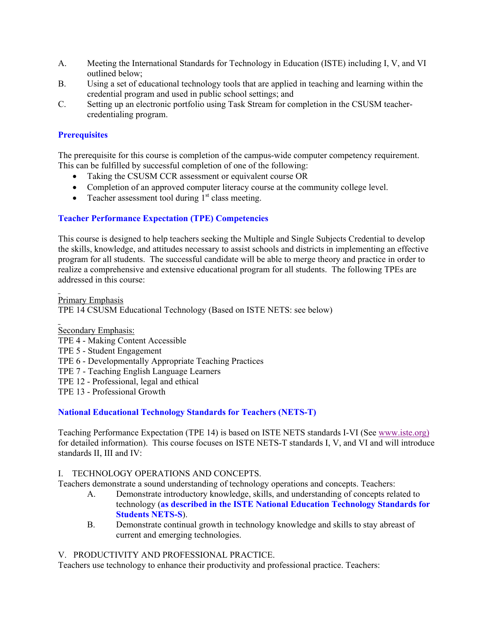- A. Meeting the International Standards for Technology in Education (ISTE) including I, V, and VI outlined below;
- B. Using a set of educational technology tools that are applied in teaching and learning within the credential program and used in public school settings; and
- C. Setting up an electronic portfolio using Task Stream for completion in the CSUSM teachercredentialing program.

## **Prerequisites**

The prerequisite for this course is completion of the campus-wide computer competency requirement. This can be fulfilled by successful completion of one of the following:

- Taking the CSUSM CCR assessment or equivalent course OR
- Completion of an approved computer literacy course at the community college level.
- Teacher assessment tool during  $1<sup>st</sup>$  class meeting.

## **Teacher Performance Expectation (TPE) Competencies**

This course is designed to help teachers seeking the Multiple and Single Subjects Credential to develop the skills, knowledge, and attitudes necessary to assist schools and districts in implementing an effective program for all students. The successful candidate will be able to merge theory and practice in order to realize a comprehensive and extensive educational program for all students. The following TPEs are addressed in this course:

Primary Emphasis TPE 14 CSUSM Educational Technology (Based on ISTE NETS: see below)

Secondary Emphasis: TPE 4 - Making Content Accessible TPE 5 - Student Engagement TPE 6 - Developmentally Appropriate Teaching Practices TPE 7 - Teaching English Language Learners TPE 12 - Professional, legal and ethical TPE 13 - Professional Growth

## **National Educational Technology Standards for Teachers (NETS-T)**

Teaching Performance Expectation (TPE 14) is based on ISTE NETS standards I-VI (See www.iste.org) for detailed information). This course focuses on ISTE NETS-T standards I, V, and VI and will introduce standards II, III and IV:

## I. TECHNOLOGY OPERATIONS AND CONCEPTS.

Teachers demonstrate a sound understanding of technology operations and concepts. Teachers:

- A. Demonstrate introductory knowledge, skills, and understanding of concepts related to technology (**as described in the ISTE National Education Technology Standards for Students NETS-S**).
- B. Demonstrate continual growth in technology knowledge and skills to stay abreast of current and emerging technologies.

## V. PRODUCTIVITY AND PROFESSIONAL PRACTICE.

Teachers use technology to enhance their productivity and professional practice. Teachers: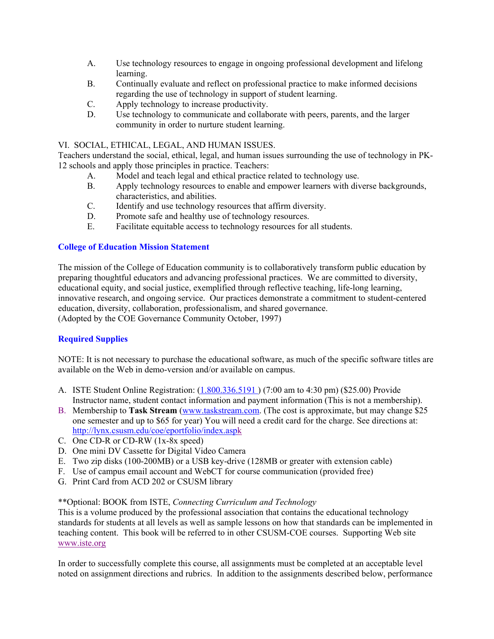- A. Use technology resources to engage in ongoing professional development and lifelong learning.
- B. Continually evaluate and reflect on professional practice to make informed decisions regarding the use of technology in support of student learning.
- C. Apply technology to increase productivity.
- D. Use technology to communicate and collaborate with peers, parents, and the larger community in order to nurture student learning.

#### VI. SOCIAL, ETHICAL, LEGAL, AND HUMAN ISSUES.

Teachers understand the social, ethical, legal, and human issues surrounding the use of technology in PK-12 schools and apply those principles in practice. Teachers:

- A. Model and teach legal and ethical practice related to technology use.
- B. Apply technology resources to enable and empower learners with diverse backgrounds, characteristics, and abilities.
- C. Identify and use technology resources that affirm diversity.
- D. Promote safe and healthy use of technology resources.
- E. Facilitate equitable access to technology resources for all students.

#### **College of Education Mission Statement**

The mission of the College of Education community is to collaboratively transform public education by preparing thoughtful educators and advancing professional practices. We are committed to diversity, educational equity, and social justice, exemplified through reflective teaching, life-long learning, innovative research, and ongoing service. Our practices demonstrate a commitment to student-centered education, diversity, collaboration, professionalism, and shared governance. (Adopted by the COE Governance Community October, 1997)

## **Required Supplies**

NOTE: It is not necessary to purchase the educational software, as much of the specific software titles are available on the Web in demo-version and/or available on campus.

- A. ISTE Student Online Registration: (1.800.336.5191 ) (7:00 am to 4:30 pm) (\$25.00) Provide Instructor name, student contact information and payment information (This is not a membership).
- B. Membership to **Task Stream** (www.taskstream.com. (The cost is approximate, but may change \$25 one semester and up to \$65 for year) You will need a credit card for the charge. See directions at: http://lynx.csusm.edu/coe/eportfolio/index.aspk
- C. One CD-R or CD-RW (1x-8x speed)
- D. One mini DV Cassette for Digital Video Camera
- E. Two zip disks (100-200MB) or a USB key-drive (128MB or greater with extension cable)
- F. Use of campus email account and WebCT for course communication (provided free)
- G. Print Card from ACD 202 or CSUSM library

#### \*\*Optional: BOOK from ISTE, *Connecting Curriculum and Technology*

This is a volume produced by the professional association that contains the educational technology standards for students at all levels as well as sample lessons on how that standards can be implemented in teaching content. This book will be referred to in other CSUSM-COE courses. Supporting Web site www.iste.org

In order to successfully complete this course, all assignments must be completed at an acceptable level noted on assignment directions and rubrics. In addition to the assignments described below, performance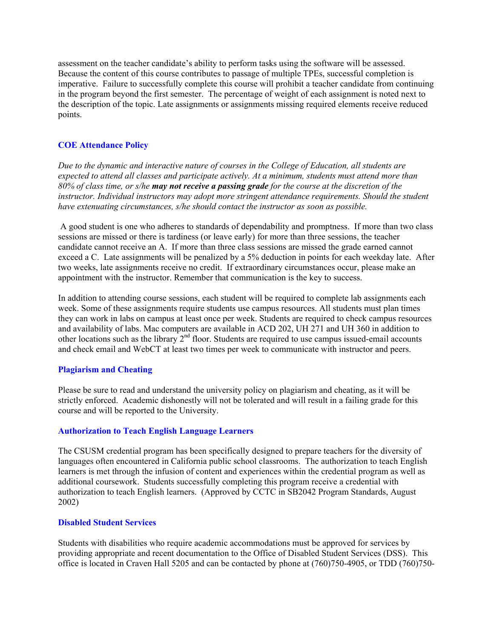assessment on the teacher candidate's ability to perform tasks using the software will be assessed. Because the content of this course contributes to passage of multiple TPEs, successful completion is imperative. Failure to successfully complete this course will prohibit a teacher candidate from continuing in the program beyond the first semester. The percentage of weight of each assignment is noted next to the description of the topic. Late assignments or assignments missing required elements receive reduced points.

#### **COE Attendance Policy**

*Due to the dynamic and interactive nature of courses in the College of Education, all students are expected to attend all classes and participate actively. At a minimum, students must attend more than 80% of class time, or s/he may not receive a passing grade for the course at the discretion of the instructor. Individual instructors may adopt more stringent attendance requirements. Should the student have extenuating circumstances, s/he should contact the instructor as soon as possible.*

 A good student is one who adheres to standards of dependability and promptness. If more than two class sessions are missed or there is tardiness (or leave early) for more than three sessions, the teacher candidate cannot receive an A. If more than three class sessions are missed the grade earned cannot exceed a C. Late assignments will be penalized by a 5% deduction in points for each weekday late. After two weeks, late assignments receive no credit. If extraordinary circumstances occur, please make an appointment with the instructor. Remember that communication is the key to success.

In addition to attending course sessions, each student will be required to complete lab assignments each week. Some of these assignments require students use campus resources. All students must plan times they can work in labs on campus at least once per week. Students are required to check campus resources and availability of labs. Mac computers are available in ACD 202, UH 271 and UH 360 in addition to other locations such as the library  $2<sup>nd</sup>$  floor. Students are required to use campus issued-email accounts and check email and WebCT at least two times per week to communicate with instructor and peers.

#### **Plagiarism and Cheating**

Please be sure to read and understand the university policy on plagiarism and cheating, as it will be strictly enforced. Academic dishonestly will not be tolerated and will result in a failing grade for this course and will be reported to the University.

#### **Authorization to Teach English Language Learners**

The CSUSM credential program has been specifically designed to prepare teachers for the diversity of languages often encountered in California public school classrooms. The authorization to teach English learners is met through the infusion of content and experiences within the credential program as well as additional coursework. Students successfully completing this program receive a credential with authorization to teach English learners. (Approved by CCTC in SB2042 Program Standards, August 2002)

#### **Disabled Student Services**

Students with disabilities who require academic accommodations must be approved for services by providing appropriate and recent documentation to the Office of Disabled Student Services (DSS). This office is located in Craven Hall 5205 and can be contacted by phone at (760)750-4905, or TDD (760)750